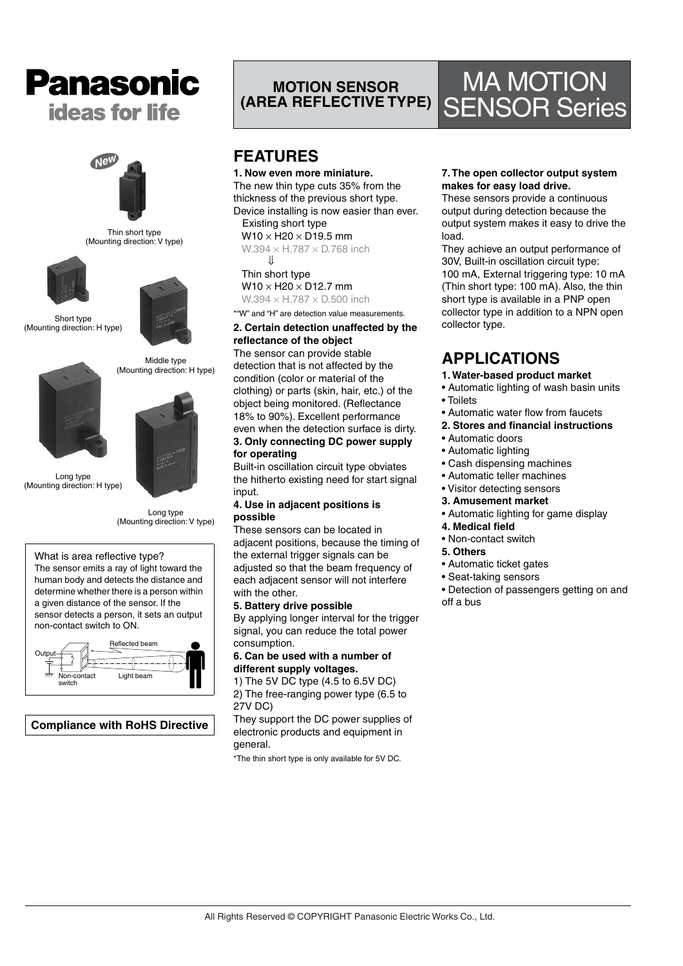



Thin short type (Mounting direction: V type)





Middle type

Short type (Mounting direction: H type)



Long type (Mounting direction: H type)



Long type (Mounting direction: V type)

#### What is area reflective type?

The sensor emits a ray of light toward the human body and detects the distance and determine whether there is a person within a given distance of the sensor. If the sensor detects a person, it sets an output non-contact switch to ON.



**Compliance with RoHS Directive**

## **MOTION SENSOR (AREA REFLECTIVE TYPE)**

## **FEATURES**

**1. Now even more miniature.** The new thin type cuts 35% from the thickness of the previous short type. Device installing is now easier than ever. Existing short type  $W10 \times H20 \times D19.5$  mm

 $W.394 \times H.787 \times D.768$  inch  $\prod$ 

#### Thin short type

 $W10 \times H20 \times D12.7$  mm  $W.394 \times H.787 \times D.500$  inch

\*"W" and "H" are detection value measurements.

#### **2. Certain detection unaffected by the reflectance of the object**

The sensor can provide stable detection that is not affected by the condition (color or material of the clothing) or parts (skin, hair, etc.) of the object being monitored. (Reflectance 18% to 90%). Excellent performance even when the detection surface is dirty. **3. Only connecting DC power supply for operating**

Built-in oscillation circuit type obviates the hitherto existing need for start signal input.

#### **4. Use in adjacent positions is possible**

These sensors can be located in adjacent positions, because the timing of the external trigger signals can be adjusted so that the beam frequency of each adjacent sensor will not interfere with the other.

#### **5. Battery drive possible**

By applying longer interval for the trigger signal, you can reduce the total power consumption.

#### **6. Can be used with a number of different supply voltages.**

1) The 5V DC type (4.5 to 6.5V DC) 2) The free-ranging power type (6.5 to 27V DC)

They support the DC power supplies of electronic products and equipment in general.

\*The thin short type is only available for 5V DC.

#### **7. The open collector output system makes for easy load drive.**

MA MOTION

SENSOR Series

These sensors provide a continuous output during detection because the output system makes it easy to drive the load.

They achieve an output performance of 30V, Built-in oscillation circuit type: 100 mA, External triggering type: 10 mA (Thin short type: 100 mA). Also, the thin short type is available in a PNP open collector type in addition to a NPN open collector type.

## **APPLICATIONS**

- **1. Water-based product market**
- Automatic lighting of wash basin units
- Toilets
- Automatic water flow from faucets
- **2. Stores and financial instructions**
- Automatic doors
- Automatic lighting
- Cash dispensing machines
- Automatic teller machines
- Visitor detecting sensors
- **3. Amusement market**
- Automatic lighting for game display
- **4. Medical field**
- Non-contact switch
- **5. Others**
- Automatic ticket gates
- Seat-taking sensors
- Detection of passengers getting on and off a bus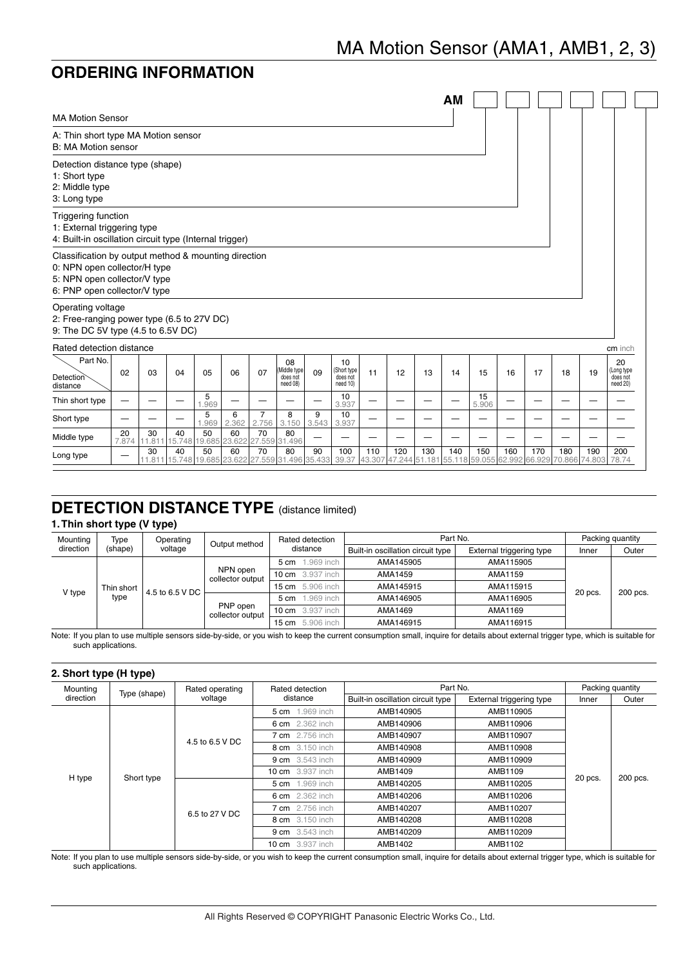## **ORDERING INFORMATION**

|                                                                                                                                                      |             |    |                     |                                                        |              |                         |                                           |            |                                           |     |     |                                                                       | <b>AM</b> |             |     |     |     |     |                                          |
|------------------------------------------------------------------------------------------------------------------------------------------------------|-------------|----|---------------------|--------------------------------------------------------|--------------|-------------------------|-------------------------------------------|------------|-------------------------------------------|-----|-----|-----------------------------------------------------------------------|-----------|-------------|-----|-----|-----|-----|------------------------------------------|
| <b>MA Motion Sensor</b>                                                                                                                              |             |    |                     |                                                        |              |                         |                                           |            |                                           |     |     |                                                                       |           |             |     |     |     |     |                                          |
| A: Thin short type MA Motion sensor<br>B: MA Motion sensor                                                                                           |             |    |                     |                                                        |              |                         |                                           |            |                                           |     |     |                                                                       |           |             |     |     |     |     |                                          |
| Detection distance type (shape)<br>1: Short type<br>2: Middle type<br>3: Long type                                                                   |             |    |                     |                                                        |              |                         |                                           |            |                                           |     |     |                                                                       |           |             |     |     |     |     |                                          |
| <b>Triggering function</b><br>1: External triggering type<br>4: Built-in oscillation circuit type (Internal trigger)                                 |             |    |                     |                                                        |              |                         |                                           |            |                                           |     |     |                                                                       |           |             |     |     |     |     |                                          |
| Classification by output method & mounting direction<br>0: NPN open collector/H type<br>5: NPN open collector/V type<br>6: PNP open collector/V type |             |    |                     |                                                        |              |                         |                                           |            |                                           |     |     |                                                                       |           |             |     |     |     |     |                                          |
| Operating voltage<br>2: Free-ranging power type (6.5 to 27V DC)<br>9: The DC 5V type (4.5 to 6.5V DC)                                                |             |    |                     |                                                        |              |                         |                                           |            |                                           |     |     |                                                                       |           |             |     |     |     |     |                                          |
| Rated detection distance                                                                                                                             |             |    |                     |                                                        |              |                         |                                           |            |                                           |     |     |                                                                       |           |             |     |     |     |     | cm inch                                  |
| Part No.<br>Detection<br>distance                                                                                                                    | 02          | 03 | 04                  | 05                                                     | 06           | 07                      | 08<br>Middle type<br>does not<br>need 08) | 09         | 10<br>(Short type<br>does not<br>need 10) | 11  | 12  | 13                                                                    | 14        | 15          | 16  | 17  | 18  | 19  | 20<br>(Long type<br>does not<br>need 20) |
| Thin short type                                                                                                                                      |             |    |                     | 5<br>.969                                              |              |                         |                                           |            | 10<br>3.937                               |     |     |                                                                       |           | 15<br>5.906 |     |     |     |     |                                          |
| Short type                                                                                                                                           |             |    |                     | 5<br>1.969                                             | 6<br>2.362   | $\overline{7}$<br>2.756 | 8<br>3.150                                | 9<br>3.543 | 10<br>3.937                               |     |     |                                                                       |           |             |     |     |     |     |                                          |
| Middle type                                                                                                                                          | 20<br>7.874 | 30 | 40<br>11.811 15.748 | 50<br>19.685                                           | 60<br>23.622 | 70                      | 80<br>27.559 31.496                       |            |                                           |     |     |                                                                       |           |             |     |     |     |     |                                          |
| Long type                                                                                                                                            | -           | 30 | 40                  | 50<br>11.811 15.748 19.685 23.622 27.559 31.496 35.433 | 60           | 70                      | 80                                        | 90         | 100<br>39.37                              | 110 | 120 | 130<br>43.307 47.244 51.181 55.118 59.055 62.992 66.929 70.866 74.803 | 140       | 150         | 160 | 170 | 180 | 190 | 200<br>78.74                             |

### **DETECTION DISTANCE TYPE** (distance limited)

### **1. Thin short type (V type)**

| Mounting  | Type       | Operating       | Output method                | Rated detection                            | Part No.                          |                          | Packing quantity |          |
|-----------|------------|-----------------|------------------------------|--------------------------------------------|-----------------------------------|--------------------------|------------------|----------|
| direction | (shape)    | voltage         |                              | distance                                   | Built-in oscillation circuit type | External triggering type | Inner            | Outer    |
|           |            |                 | .969 inch<br>$5 \text{ cm}$  | AMA145905                                  | AMA115905                         |                          |                  |          |
|           |            |                 | NPN open<br>collector output | <b>10 cm</b> 3.937 inch                    | AMA1459                           | AMA1159                  |                  |          |
| V type    | Thin short | 4.5 to 6.5 V DC |                              | 15 cm 5.906 inch<br>AMA145915<br>AMA115915 |                                   |                          |                  |          |
|           | type       |                 |                              | .969 inch<br>$5 \text{ cm}$                | AMA146905                         | AMA116905                | 20 pcs           | 200 pcs. |
|           |            |                 | PNP open<br>collector output | <b>10 cm</b> 3.937 inch                    | AMA1469                           | AMA1169                  |                  |          |
|           |            |                 |                              | 5.906 inch<br>$15 \text{ cm}$              | AMA146915                         | AMA116915                |                  |          |

Note: If you plan to use multiple sensors side-by-side, or you wish to keep the current consumption small, inquire for details about external trigger type, which is suitable for such applications.

#### **2. Short type (H type)**

| Mounting  |              | Rated operating | Rated detection         | Part No.                          |                          |           | Packing quantity |                 |           |                 |           |           |  |  |  |                        |           |           |  |  |
|-----------|--------------|-----------------|-------------------------|-----------------------------------|--------------------------|-----------|------------------|-----------------|-----------|-----------------|-----------|-----------|--|--|--|------------------------|-----------|-----------|--|--|
| direction | Type (shape) | voltage         | distance                | Built-in oscillation circuit type | External triggering type | Inner     | Outer            |                 |           |                 |           |           |  |  |  |                        |           |           |  |  |
|           |              |                 | 5 cm 1.969 inch         | AMB140905                         | AMB110905                |           |                  |                 |           |                 |           |           |  |  |  |                        |           |           |  |  |
|           |              |                 | 6 cm 2.362 inch         | AMB140906                         | AMB110906                |           |                  |                 |           |                 |           |           |  |  |  |                        |           |           |  |  |
|           |              | 4.5 to 6.5 V DC | <b>7 cm</b> 2.756 inch  | AMB140907                         | AMB110907                |           |                  |                 |           |                 |           |           |  |  |  |                        |           |           |  |  |
|           |              |                 |                         |                                   | 8 cm 3.150 inch          | AMB140908 | AMB110908        |                 |           |                 |           |           |  |  |  |                        |           |           |  |  |
|           |              |                 | <b>9 cm</b> 3.543 inch  | AMB140909                         | AMB110909                |           |                  |                 |           |                 |           |           |  |  |  |                        |           |           |  |  |
|           | Short type   |                 | <b>10 cm</b> 3.937 inch | AMB1409                           | AMB1109                  |           | 200 pcs.         |                 |           |                 |           |           |  |  |  |                        |           |           |  |  |
| H type    |              |                 | 5 cm 1.969 inch         | AMB140205                         | AMB110205                | 20 pcs.   |                  |                 |           |                 |           |           |  |  |  |                        |           |           |  |  |
|           |              | 6.5 to 27 V DC  |                         |                                   |                          |           |                  | 6 cm 2.362 inch | AMB140206 | AMB110206       |           |           |  |  |  |                        |           |           |  |  |
|           |              |                 |                         |                                   |                          |           |                  |                 |           |                 |           |           |  |  |  | <b>7 cm</b> 2.756 inch | AMB140207 | AMB110207 |  |  |
|           |              |                 |                         |                                   |                          |           |                  |                 |           | 8 cm 3.150 inch | AMB140208 | AMB110208 |  |  |  |                        |           |           |  |  |
|           |              |                 |                         |                                   | <b>9 cm</b> 3.543 inch   | AMB140209 | AMB110209        |                 |           |                 |           |           |  |  |  |                        |           |           |  |  |
|           |              |                 | <b>10 cm</b> 3.937 inch | AMB1402                           | AMB1102                  |           |                  |                 |           |                 |           |           |  |  |  |                        |           |           |  |  |

Note: If you plan to use multiple sensors side-by-side, or you wish to keep the current consumption small, inquire for details about external trigger type, which is suitable for such applications.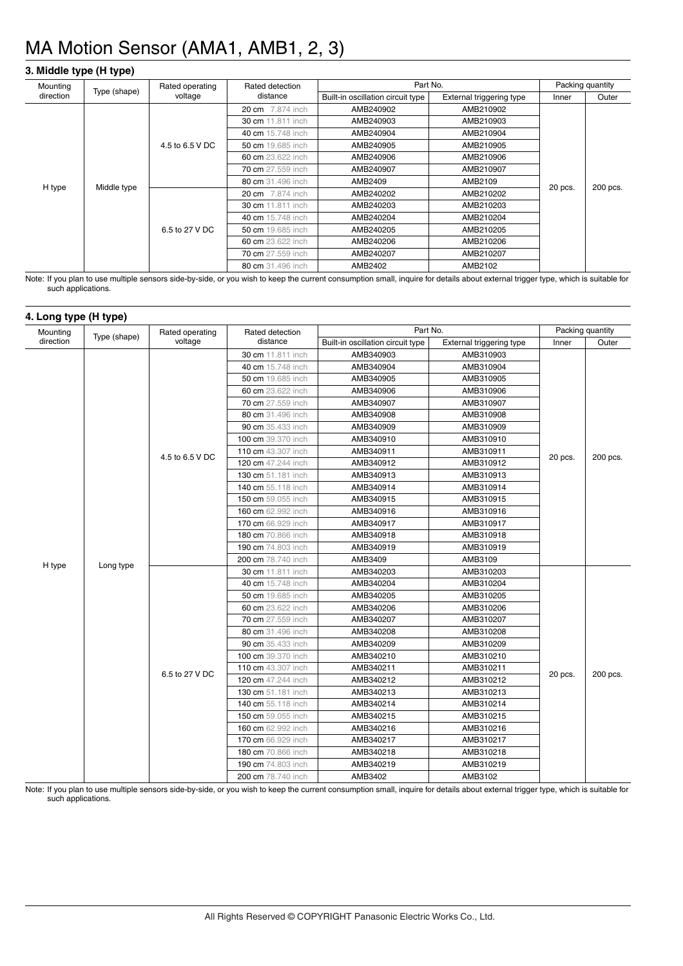### **3. Middle type (H type)**

| Mounting  |              | Rated operating | Rated detection         | Part No.                          |                          |           | Packing quantity  |                   |                   |           |                   |           |           |  |  |
|-----------|--------------|-----------------|-------------------------|-----------------------------------|--------------------------|-----------|-------------------|-------------------|-------------------|-----------|-------------------|-----------|-----------|--|--|
| direction | Type (shape) | voltage         | distance                | Built-in oscillation circuit type | External triggering type | Inner     | Outer             |                   |                   |           |                   |           |           |  |  |
|           |              |                 | <b>20 cm</b> 7.874 inch | AMB240902                         | AMB210902                |           |                   |                   |                   |           |                   |           |           |  |  |
|           |              |                 | 30 cm 11.811 inch       | AMB240903                         | AMB210903                |           |                   |                   |                   |           |                   |           |           |  |  |
|           |              |                 | 40 cm 15.748 inch       | AMB240904                         | AMB210904                |           |                   |                   |                   |           |                   |           |           |  |  |
|           |              | 4.5 to 6.5 V DC |                         |                                   | 50 cm 19.685 inch        | AMB240905 | AMB210905         |                   |                   |           |                   |           |           |  |  |
|           |              |                 |                         |                                   |                          |           |                   |                   | 60 cm 23.622 inch | AMB240906 | AMB210906         |           |           |  |  |
|           |              |                 | 70 cm 27.559 inch       | AMB240907                         | AMB210907                | 20 pcs.   | 200 pcs.          |                   |                   |           |                   |           |           |  |  |
|           | Middle type  |                 | 80 cm 31.496 inch       | AMB2409                           | AMB2109                  |           |                   |                   |                   |           |                   |           |           |  |  |
| H type    |              |                 | <b>20 cm</b> 7.874 inch | AMB240202                         | AMB210202                |           |                   |                   |                   |           |                   |           |           |  |  |
|           |              |                 | 30 cm 11.811 inch       | AMB240203                         | AMB210203                |           |                   |                   |                   |           |                   |           |           |  |  |
|           |              | 6.5 to 27 V DC  |                         |                                   |                          |           |                   |                   |                   |           | 40 cm 15.748 inch | AMB240204 | AMB210204 |  |  |
|           |              |                 |                         |                                   |                          |           | 50 cm 19.685 inch |                   | AMB240205         | AMB210205 |                   |           |           |  |  |
|           |              |                 |                         |                                   |                          |           |                   | 60 cm 23.622 inch |                   | AMB240206 | AMB210206         |           |           |  |  |
|           |              |                 |                         |                                   |                          |           |                   | 70 cm 27.559 inch | AMB240207         | AMB210207 |                   |           |           |  |  |
|           |              |                 | 80 cm 31.496 inch       | AMB2402                           | AMB2102                  |           |                   |                   |                   |           |                   |           |           |  |  |

Note: If you plan to use multiple sensors side-by-side, or you wish to keep the current consumption small, inquire for details about external trigger type, which is suitable for such applications.

#### **4. Long type (H type)**

| Mounting  | Type (shape) | Rated operating | Rated detection    | Part No.                          |                          |         | Packing quantity |
|-----------|--------------|-----------------|--------------------|-----------------------------------|--------------------------|---------|------------------|
| direction |              | voltage         | distance           | Built-in oscillation circuit type | External triggering type | Inner   | Outer            |
|           |              |                 | 30 cm 11.811 inch  | AMB340903                         | AMB310903                |         |                  |
|           |              |                 | 40 cm 15.748 inch  | AMB340904                         | AMB310904                |         |                  |
|           |              |                 | 50 cm 19.685 inch  | AMB340905                         | AMB310905                |         |                  |
|           |              |                 | 60 cm 23.622 inch  | AMB340906                         | AMB310906                |         |                  |
|           |              |                 | 70 cm 27.559 inch  | AMB340907                         | AMB310907                |         |                  |
|           |              |                 | 80 cm 31.496 inch  | AMB340908                         | AMB310908                |         |                  |
|           |              |                 | 90 cm 35.433 inch  | AMB340909                         | AMB310909                |         |                  |
|           |              |                 | 100 cm 39.370 inch | AMB340910                         | AMB310910                |         |                  |
|           |              | 4.5 to 6.5 V DC | 110 cm 43.307 inch | AMB340911                         | AMB310911                | 20 pcs. | 200 pcs.         |
|           |              |                 | 120 cm 47.244 inch | AMB340912                         | AMB310912                |         |                  |
|           |              |                 | 130 cm 51.181 inch | AMB340913                         | AMB310913                |         |                  |
|           |              |                 | 140 cm 55.118 inch | AMB340914                         | AMB310914                |         |                  |
|           |              |                 | 150 cm 59.055 inch | AMB340915                         | AMB310915                |         |                  |
|           |              |                 | 160 cm 62.992 inch | AMB340916                         | AMB310916                |         |                  |
|           |              |                 | 170 cm 66.929 inch | AMB340917                         | AMB310917                |         |                  |
|           |              |                 | 180 cm 70.866 inch | AMB340918                         | AMB310918                |         |                  |
|           |              |                 | 190 cm 74.803 inch | AMB340919                         | AMB310919                |         |                  |
| H type    | Long type    |                 | 200 cm 78.740 inch | AMB3409                           | AMB3109                  |         |                  |
|           |              |                 | 30 cm 11.811 inch  | AMB340203                         | AMB310203                |         |                  |
|           |              |                 | 40 cm 15.748 inch  | AMB340204                         | AMB310204                |         |                  |
|           |              |                 | 50 cm 19.685 inch  | AMB340205                         | AMB310205                |         |                  |
|           |              |                 | 60 cm 23.622 inch  | AMB340206                         | AMB310206                |         |                  |
|           |              |                 | 70 cm 27.559 inch  | AMB340207                         | AMB310207                |         |                  |
|           |              |                 | 80 cm 31.496 inch  | AMB340208                         | AMB310208                |         |                  |
|           |              |                 | 90 cm 35.433 inch  | AMB340209                         | AMB310209                |         |                  |
|           |              |                 | 100 cm 39.370 inch | AMB340210                         | AMB310210                |         |                  |
|           |              | 6.5 to 27 V DC  | 110 cm 43.307 inch | AMB340211                         | AMB310211                | 20 pcs. | 200 pcs.         |
|           |              |                 | 120 cm 47.244 inch | AMB340212                         | AMB310212                |         |                  |
|           |              |                 | 130 cm 51.181 inch | AMB340213                         | AMB310213                |         |                  |
|           |              |                 | 140 cm 55.118 inch | AMB340214                         | AMB310214                |         |                  |
|           |              |                 | 150 cm 59.055 inch | AMB340215                         | AMB310215                |         |                  |
|           |              |                 | 160 cm 62.992 inch | AMB340216                         | AMB310216                |         |                  |
|           |              |                 | 170 cm 66.929 inch | AMB340217                         | AMB310217                |         |                  |
|           |              |                 | 180 cm 70.866 inch | AMB340218                         | AMB310218                |         |                  |
|           |              |                 | 190 cm 74.803 inch | AMB340219                         | AMB310219                |         |                  |
|           |              |                 | 200 cm 78.740 inch | AMB3402                           | AMB3102                  |         |                  |

Note: If you plan to use multiple sensors side-by-side, or you wish to keep the current consumption small, inquire for details about external trigger type, which is suitable for such applications.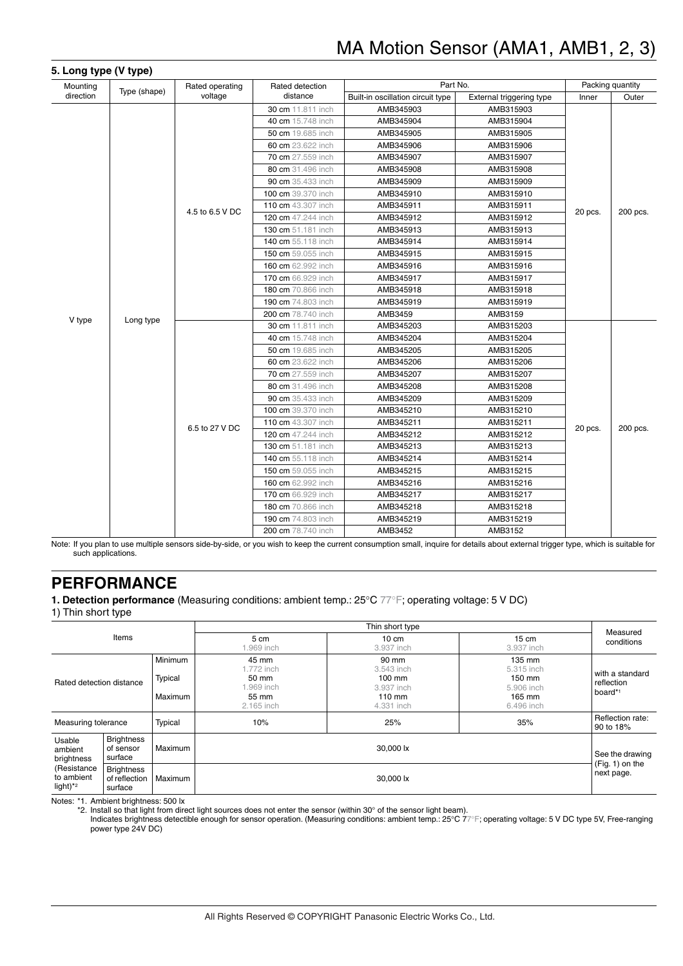| Mounting  | Type (shape) | Rated operating | Rated detection    | Part No.                          |                          |           | Packing quantity |  |  |  |  |  |                   |           |           |  |  |
|-----------|--------------|-----------------|--------------------|-----------------------------------|--------------------------|-----------|------------------|--|--|--|--|--|-------------------|-----------|-----------|--|--|
| direction |              | voltage         | distance           | Built-in oscillation circuit type | External triggering type | Inner     | Outer            |  |  |  |  |  |                   |           |           |  |  |
|           |              |                 | 30 cm 11.811 inch  | AMB345903                         | AMB315903                |           |                  |  |  |  |  |  |                   |           |           |  |  |
|           |              |                 | 40 cm 15.748 inch  | AMB345904                         | AMB315904                |           |                  |  |  |  |  |  |                   |           |           |  |  |
|           |              |                 | 50 cm 19.685 inch  | AMB345905                         | AMB315905                |           |                  |  |  |  |  |  |                   |           |           |  |  |
|           |              |                 | 60 cm 23.622 inch  | AMB345906                         | AMB315906                |           |                  |  |  |  |  |  |                   |           |           |  |  |
|           |              |                 | 70 cm 27.559 inch  | AMB345907                         | AMB315907                |           |                  |  |  |  |  |  |                   |           |           |  |  |
|           |              |                 | 80 cm 31.496 inch  | AMB345908                         | AMB315908                |           |                  |  |  |  |  |  |                   |           |           |  |  |
|           |              |                 | 90 cm 35.433 inch  | AMB345909                         | AMB315909                |           |                  |  |  |  |  |  |                   |           |           |  |  |
|           |              |                 | 100 cm 39.370 inch | AMB345910                         | AMB315910                |           |                  |  |  |  |  |  |                   |           |           |  |  |
|           |              | 4.5 to 6.5 V DC | 110 cm 43.307 inch | AMB345911                         | AMB315911                | 20 pcs.   | 200 pcs.         |  |  |  |  |  |                   |           |           |  |  |
|           |              |                 | 120 cm 47.244 inch | AMB345912                         | AMB315912                |           |                  |  |  |  |  |  |                   |           |           |  |  |
|           |              |                 | 130 cm 51.181 inch | AMB345913                         | AMB315913                |           |                  |  |  |  |  |  |                   |           |           |  |  |
|           |              |                 | 140 cm 55.118 inch | AMB345914                         | AMB315914                |           |                  |  |  |  |  |  |                   |           |           |  |  |
|           |              |                 | 150 cm 59.055 inch | AMB345915                         | AMB315915                |           |                  |  |  |  |  |  |                   |           |           |  |  |
|           |              |                 | 160 cm 62.992 inch | AMB345916                         | AMB315916                |           |                  |  |  |  |  |  |                   |           |           |  |  |
|           |              |                 | 170 cm 66.929 inch | AMB345917                         | AMB315917                |           |                  |  |  |  |  |  |                   |           |           |  |  |
|           |              |                 | 180 cm 70.866 inch | AMB345918                         | AMB315918                |           |                  |  |  |  |  |  |                   |           |           |  |  |
|           |              |                 | 190 cm 74.803 inch | AMB345919                         | AMB315919                |           |                  |  |  |  |  |  |                   |           |           |  |  |
| V type    | Long type    |                 | 200 cm 78.740 inch | AMB3459                           | AMB3159                  |           |                  |  |  |  |  |  |                   |           |           |  |  |
|           |              |                 | 30 cm 11.811 inch  | AMB345203                         | AMB315203                |           |                  |  |  |  |  |  |                   |           |           |  |  |
|           |              |                 | 40 cm 15.748 inch  | AMB345204                         | AMB315204                |           |                  |  |  |  |  |  |                   |           |           |  |  |
|           |              |                 |                    |                                   |                          |           |                  |  |  |  |  |  | 50 cm 19.685 inch | AMB345205 | AMB315205 |  |  |
|           |              |                 | 60 cm 23.622 inch  | AMB345206                         | AMB315206                |           |                  |  |  |  |  |  |                   |           |           |  |  |
|           |              |                 | 70 cm 27.559 inch  | AMB345207                         | AMB315207                |           |                  |  |  |  |  |  |                   |           |           |  |  |
|           |              |                 | 80 cm 31.496 inch  | AMB345208                         | AMB315208                |           |                  |  |  |  |  |  |                   |           |           |  |  |
|           |              |                 | 90 cm 35.433 inch  | AMB345209                         | AMB315209                |           |                  |  |  |  |  |  |                   |           |           |  |  |
|           |              |                 |                    |                                   | 100 cm 39.370 inch       | AMB345210 | AMB315210        |  |  |  |  |  |                   |           |           |  |  |
|           |              | 6.5 to 27 V DC  | 110 cm 43.307 inch | AMB345211                         | AMB315211                | 20 pcs.   | 200 pcs.         |  |  |  |  |  |                   |           |           |  |  |
|           |              |                 | 120 cm 47.244 inch | AMB345212                         | AMB315212                |           |                  |  |  |  |  |  |                   |           |           |  |  |
|           |              |                 | 130 cm 51.181 inch | AMB345213                         | AMB315213                |           |                  |  |  |  |  |  |                   |           |           |  |  |
|           |              |                 | 140 cm 55.118 inch | AMB345214                         | AMB315214                |           |                  |  |  |  |  |  |                   |           |           |  |  |
|           |              |                 | 150 cm 59.055 inch | AMB345215                         | AMB315215                |           |                  |  |  |  |  |  |                   |           |           |  |  |
|           |              |                 | 160 cm 62.992 inch | AMB345216                         | AMB315216                |           |                  |  |  |  |  |  |                   |           |           |  |  |
|           |              |                 | 170 cm 66.929 inch | AMB345217                         | AMB315217                |           |                  |  |  |  |  |  |                   |           |           |  |  |
|           |              |                 | 180 cm 70.866 inch | AMB345218                         | AMB315218                |           |                  |  |  |  |  |  |                   |           |           |  |  |
|           |              |                 | 190 cm 74.803 inch | AMB345219                         | AMB315219                |           |                  |  |  |  |  |  |                   |           |           |  |  |
|           |              |                 |                    | 200 cm 78.740 inch                | AMB3452                  | AMB3152   |                  |  |  |  |  |  |                   |           |           |  |  |

Note: If you plan to use multiple sensors side-by-side, or you wish to keep the current consumption small, inquire for details about external trigger type, which is suitable for such applications.

### **PERFORMANCE**

**1. Detection performance** (Measuring conditions: ambient temp.: 25°C 77°F; operating voltage: 5 V DC)

1) Thin short type

|                                                      |                                               |                               |                                                                  | Thin short type                                                         |                                                                      | Measured                                 |
|------------------------------------------------------|-----------------------------------------------|-------------------------------|------------------------------------------------------------------|-------------------------------------------------------------------------|----------------------------------------------------------------------|------------------------------------------|
|                                                      | Items                                         |                               | 5 cm<br>.969 inch                                                | $10 \text{ cm}$<br>3.937 inch                                           | $15 \text{ cm}$<br>3.937 inch                                        | conditions                               |
| Rated detection distance                             |                                               | Minimum<br>Typical<br>Maximum | 45 mm<br>1.772 inch<br>50 mm<br>.969 inch<br>55 mm<br>2.165 inch | 90 mm<br>3.543 inch<br>$100$ mm<br>3.937 inch<br>$110$ mm<br>4.331 inch | 135 mm<br>5.315 inch<br>150 mm<br>5.906 inch<br>165 mm<br>6.496 inch | with a standard<br>reflection<br>board*1 |
| Measuring tolerance                                  |                                               | Typical                       | 10%                                                              | 25%                                                                     | 35%                                                                  | Reflection rate:<br>90 to 18%            |
| Usable<br>ambient<br>brightness                      | <b>Brightness</b><br>of sensor<br>surface     | Maximum                       |                                                                  | 30,000 lx                                                               |                                                                      | See the drawing                          |
| (Resistance<br>to ambient<br>light) $*$ <sup>2</sup> | <b>Brightness</b><br>of reflection<br>surface | Maximum                       |                                                                  | 30,000 lx                                                               |                                                                      | $(Fig. 1)$ on the<br>next page.          |

Notes: \*1. Ambient brightness: 500 lx

\*2. Install so that light from direct light sources does not enter the sensor (within 30° of the sensor light beam).

Indicates brightness detectible enough for sensor operation. (Measuring conditions: ambient temp.: 25°C 77°F; operating voltage: 5 V DC type 5V, Free-ranging power type 24V DC)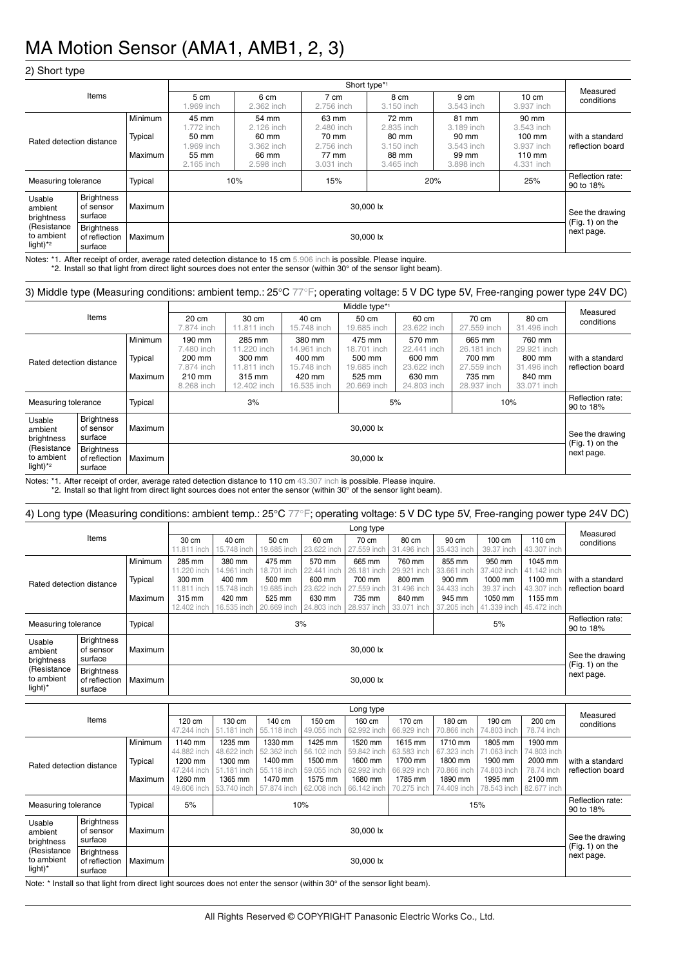#### 2) Short type

|                                                      |                                                      |                               |                                                                 | Short type*1                                                      |                                                                   |                                                                   |                                                                   |                                                                                         |                                      |  |  |  |  |
|------------------------------------------------------|------------------------------------------------------|-------------------------------|-----------------------------------------------------------------|-------------------------------------------------------------------|-------------------------------------------------------------------|-------------------------------------------------------------------|-------------------------------------------------------------------|-----------------------------------------------------------------------------------------|--------------------------------------|--|--|--|--|
|                                                      | Items                                                |                               | 5 cm<br>.969 inch                                               | 6 cm<br>2.362 inch                                                | 7 cm<br>2.756 inch                                                | 8 cm<br>3.150 inch                                                | 9 cm<br>3.543 inch                                                | $10 \text{ cm}$<br>3.937 inch                                                           | Measured<br>conditions               |  |  |  |  |
| Rated detection distance                             |                                                      | Minimum<br>Typical<br>Maximum | 45 mm<br>.772 inch<br>50 mm<br>.969 inch<br>55 mm<br>2.165 inch | 54 mm<br>2.126 inch<br>60 mm<br>3.362 inch<br>66 mm<br>2.598 inch | 63 mm<br>2.480 inch<br>70 mm<br>2.756 inch<br>77 mm<br>3.031 inch | 72 mm<br>2.835 inch<br>80 mm<br>3.150 inch<br>88 mm<br>3.465 inch | 81 mm<br>3.189 inch<br>90 mm<br>3.543 inch<br>99 mm<br>3.898 inch | 90 mm<br>3.543 inch<br>$100 \text{ mm}$<br>3.937 inch<br>$110 \text{ mm}$<br>4.331 inch | with a standard<br>reflection board  |  |  |  |  |
| Measuring tolerance                                  |                                                      | Typical                       | 10%                                                             |                                                                   | 15%                                                               |                                                                   | 20%                                                               | 25%                                                                                     | Reflection rate:<br>90 to 18%        |  |  |  |  |
| Usable<br>ambient<br>brightness                      | <b>Brightness</b><br>Maximum<br>of sensor<br>surface |                               |                                                                 |                                                                   |                                                                   | 30.000 lx                                                         |                                                                   |                                                                                         | See the drawing<br>$(Fig. 1)$ on the |  |  |  |  |
| (Resistance<br>to ambient<br>light) $*$ <sup>2</sup> | <b>Brightness</b><br>of reflection<br>surface        | Maximum                       |                                                                 | 30,000 lx                                                         |                                                                   |                                                                   |                                                                   |                                                                                         |                                      |  |  |  |  |

Notes: \*1. After receipt of order, average rated detection distance to 15 cm 5.906 inch is possible. Please inquire. \*2. Install so that light from direct light sources does not enter the sensor (within 30° of the sensor light beam).

#### 3) Middle type (Measuring conditions: ambient temp.: 25°C 77°F; operating voltage: 5 V DC type 5V, Free-ranging power type 24V DC)

|                                                      |                                               |                               |                                                                      | Middle type*1                                                           |                                                                         |                                                                         |                                                                         |                                                                         |                                                                         |                                      |  |  |  |
|------------------------------------------------------|-----------------------------------------------|-------------------------------|----------------------------------------------------------------------|-------------------------------------------------------------------------|-------------------------------------------------------------------------|-------------------------------------------------------------------------|-------------------------------------------------------------------------|-------------------------------------------------------------------------|-------------------------------------------------------------------------|--------------------------------------|--|--|--|
| Items                                                |                                               | 20 cm<br>7.874 inch           | 30 cm<br>11.811 inch                                                 | 40 cm<br>15.748 inch                                                    | 50 cm<br>19.685 inch                                                    | 60 cm<br>23.622 inch                                                    | 70 cm<br>27.559 inch                                                    | 80 cm<br>31.496 inch                                                    | Measured<br>conditions                                                  |                                      |  |  |  |
| Rated detection distance                             |                                               | Minimum<br>Typical<br>Maximum | 190 mm<br>7.480 inch<br>200 mm<br>7.874 inch<br>210 mm<br>8.268 inch | 285 mm<br>11.220 inch<br>300 mm<br>11.811 inch<br>315 mm<br>12.402 inch | 380 mm<br>14.961 inch<br>400 mm<br>15.748 inch<br>420 mm<br>16.535 inch | 475 mm<br>18.701 inch<br>500 mm<br>19.685 inch<br>525 mm<br>20.669 inch | 570 mm<br>22.441 inch<br>600 mm<br>23.622 inch<br>630 mm<br>24.803 inch | 665 mm<br>26.181 inch<br>700 mm<br>27.559 inch<br>735 mm<br>28.937 inch | 760 mm<br>29.921 inch<br>800 mm<br>31.496 inch<br>840 mm<br>33.071 inch | with a standard<br>reflection board  |  |  |  |
| Measuring tolerance                                  |                                               | Typical                       |                                                                      | 3%                                                                      |                                                                         | 5%                                                                      | 10%                                                                     | Reflection rate:<br>90 to 18%                                           |                                                                         |                                      |  |  |  |
| Usable<br>ambient<br>brightness                      | <b>Brightness</b><br>of sensor<br>surface     | Maximum                       |                                                                      |                                                                         |                                                                         | 30,000 lx                                                               |                                                                         |                                                                         |                                                                         | See the drawing<br>$(Fig. 1)$ on the |  |  |  |
| (Resistance<br>to ambient<br>light) $*$ <sup>2</sup> | <b>Brightness</b><br>of reflection<br>surface | Maximum                       |                                                                      |                                                                         |                                                                         | 30,000 lx                                                               |                                                                         |                                                                         |                                                                         | next page.                           |  |  |  |

Notes: \*1. After receipt of order, average rated detection distance to 110 cm 43.307 inch is possible. Please inquire. \*2. Install so that light from direct light sources does not enter the sensor (within 30° of the sensor light beam).

#### 4) Long type (Measuring conditions: ambient temp.: 25°C 77°F; operating voltage: 5 V DC type 5V, Free-ranging power type 24V DC) Items Long type<br>
70 cm 80 cm 90 cm 100 cm 110 cm Measured<br>
200 cm 100 cm 100 cm 100 cm Measured  $\frac{30 \text{ cm}}{100 \text{ cm}}$ ,  $\frac{40 \text{ cm}}{100 \text{ cm}}$ ,  $\frac{50 \text{ cm}}{100 \text{ cm}}$ ,  $\frac{30 \text{ cm}}{100 \text{ cm}}$ ,  $\frac{110 \text{ cm}}{100 \text{ cm}}$ , conditions 1.811 incl 40 cm 15.748 inch 50 cm 19.685 inch 60 cm 23.622 inch 70 cm .559 incl 80 cm 31.496 inch 90 cm 35.433 inch 100 cm 39.37 inch 110 cm 13.307 inch Rated detection distance **Minimum** Typical Maximum 285 mm .220 inc 300 mm .811 incl 315 mm 2.402 inc 380 mm 961 inc 400 mm 48 incl 420 mm 16.535 inch 475 mm .701 inc 500 mm 9.685 incl 525 mm 20.669 inc 570 mm incl 600 mm 22 inc 630 mm  $24.803$  inc 665 mm  $6.181$  inch 700 mm 559 inch 735 mm 8.937 inc 760 mm 9.921 incl 800 mm 496 inch 840 mm 33.071 incl 855 mm 3.661 incl 900 mm 433 inch 945 mm 7.205 inc 950 mm 402 inc 1000 mm inch 1050 mm  $-1.339$  inc 1045 mm 42 inch 1100 mm 307 inch 1155 mm 45.472 inch with a standard reflection board Measuring tolerance Typical 5% Reflection rate: 90 to 18% Usable ambient brightness (Resistance to ambient light)\* **Brightness** of sensor surface Maximum Solution and the set of the set of the set of the set of the set of the set of the set of the drawing See the drawing See the drawing<br>(Fig. 1) on the next page.<br>Brightness executive contract page. of reflection surface Maximum 30,000 lx Long type<br>
100 170 170 170 170 170 170 Measured

|                                        |                                               |                               |                                                                            |                                                                            |                                                                            |                                                                            |                                                                            |                                                                            |                                                                            |                                                                            |                                                                           | Measured                             |
|----------------------------------------|-----------------------------------------------|-------------------------------|----------------------------------------------------------------------------|----------------------------------------------------------------------------|----------------------------------------------------------------------------|----------------------------------------------------------------------------|----------------------------------------------------------------------------|----------------------------------------------------------------------------|----------------------------------------------------------------------------|----------------------------------------------------------------------------|---------------------------------------------------------------------------|--------------------------------------|
|                                        | Items                                         |                               | 120 cm<br>47.244 inch                                                      | 130 cm<br>51.181 inch                                                      | 140 cm<br>55.118 inch                                                      | 150 cm<br>49.055 inch                                                      | 160 cm<br>62.992 inch                                                      | 170 cm<br>66.929 inch                                                      | 180 cm<br>70.866 inch                                                      | 190 cm<br>74.803 inch                                                      | 200 cm<br>78.74 inch                                                      | conditions                           |
| Rated detection distance               |                                               | Minimum<br>Typical<br>Maximum | 1140 mm<br>44.882 inch<br>1200 mm<br>47.244 inch<br>1260 mm<br>49,606 inch | 1235 mm<br>48.622 inch<br>1300 mm<br>51.181 inch<br>1365 mm<br>53.740 inch | 1330 mm<br>52.362 inch<br>1400 mm<br>55.118 inch<br>1470 mm<br>57.874 inch | 1425 mm<br>56.102 inch<br>1500 mm<br>59.055 inch<br>1575 mm<br>62.008 inch | 1520 mm<br>59.842 inch<br>1600 mm<br>62.992 inch<br>1680 mm<br>66.142 inch | 1615 mm<br>63.583 inch<br>1700 mm<br>66.929 inch<br>1785 mm<br>70.275 inch | 1710 mm<br>67.323 inch<br>1800 mm<br>70.866 inch<br>1890 mm<br>74.409 inch | 1805 mm<br>71.063 inch<br>1900 mm<br>74.803 inch<br>1995 mm<br>78.543 inch | 1900 mm<br>74.803 inch<br>2000 mm<br>78.74 inch<br>2100 mm<br>82.677 inch | with a standard<br>reflection board  |
| Measuring tolerance                    |                                               | Typical                       | 5%                                                                         | 10%<br>15%                                                                 |                                                                            |                                                                            |                                                                            |                                                                            |                                                                            |                                                                            |                                                                           | Reflection rate:<br>90 to 18%        |
| Usable<br>ambient<br>brightness        | <b>Brightness</b><br>of sensor<br>surface     | Maximum                       |                                                                            |                                                                            |                                                                            |                                                                            | 30,000 lx                                                                  |                                                                            |                                                                            |                                                                            |                                                                           | See the drawing<br>$(Fiq. 1)$ on the |
| (Resistance<br>to ambient<br>$light)*$ | <b>Brightness</b><br>of reflection<br>surface | Maximum                       |                                                                            |                                                                            |                                                                            |                                                                            | 30,000 lx                                                                  |                                                                            |                                                                            |                                                                            |                                                                           | next page.                           |

Note: \* Install so that light from direct light sources does not enter the sensor (within 30° of the sensor light beam).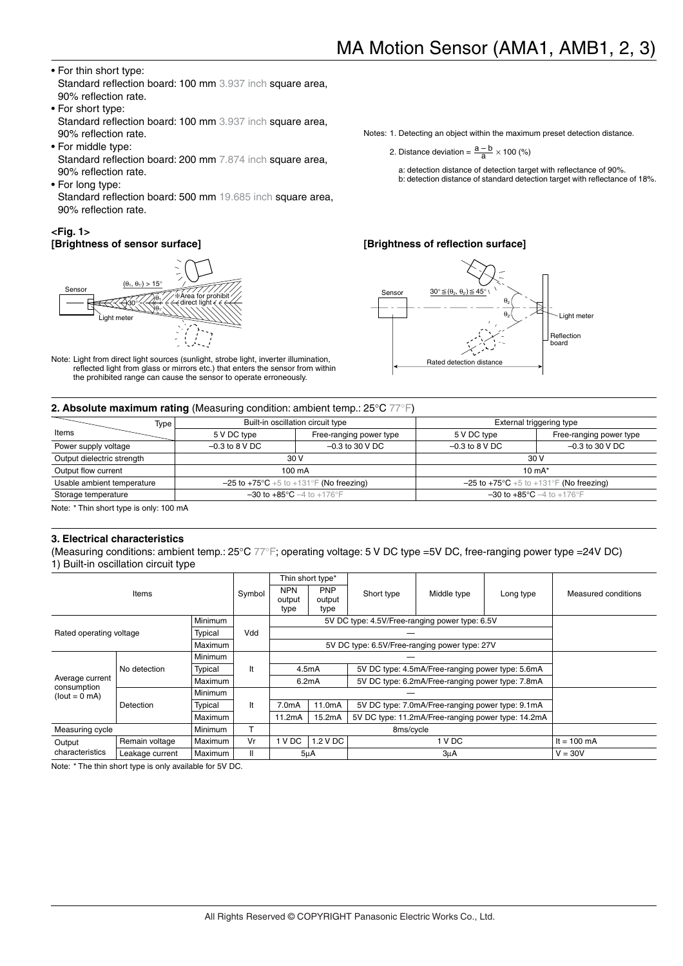#### • For thin short type: Standard reflection board: 100 mm 3.937 inch square area. 90% reflection rate.

- For short type: Standard reflection board: 100 mm 3.937 inch square area, 90% reflection rate.
- For middle type: Standard reflection board: 200 mm 7.874 inch square area, 90% reflection rate.
- For long type: Standard reflection board: 500 mm 19.685 inch square area, 90% reflection rate.

#### **<Fig. 1> [Brightness of sensor surface]**



Note: Light from direct light sources (sunlight, strobe light, inverter illumination, reflected light from glass or mirrors etc.) that enters the sensor from within the prohibited range can cause the sensor to operate erroneously.

Notes: 1. Detecting an object within the maximum preset detection distance.

2. Distance deviation =  $\frac{a-b}{a} \times 100$  (%)

- a: detection distance of detection target with reflectance of 90%.
- b: detection distance of standard detection target with reflectance of 18%.

#### **[Brightness of reflection surface]**



| Type                                                                                                                                     |                  | Built-in oscillation circuit type                 |                  | External triggering type                          |  |  |  |
|------------------------------------------------------------------------------------------------------------------------------------------|------------------|---------------------------------------------------|------------------|---------------------------------------------------|--|--|--|
| Items                                                                                                                                    | 5 V DC type      | Free-ranging power type                           | 5 V DC type      | Free-ranging power type                           |  |  |  |
| Power supply voltage                                                                                                                     | $-0.3$ to 8 V DC | $-0.3$ to 30 V DC                                 | $-0.3$ to 8 V DC | $-0.3$ to 30 V DC                                 |  |  |  |
| Output dielectric strength                                                                                                               |                  | 30 V                                              |                  | 30 V                                              |  |  |  |
| Output flow current                                                                                                                      |                  | $100 \text{ mA}$                                  |                  | 10 $mA^*$                                         |  |  |  |
| Usable ambient temperature<br>$-25$ to $+75^{\circ}$ C +5 to +131°F (No freezing)<br>$-25$ to $+75^{\circ}$ C +5 to +131°F (No freezing) |                  |                                                   |                  |                                                   |  |  |  |
| Storage temperature                                                                                                                      |                  | $-30$ to $+85^{\circ}$ C $-4$ to $+176^{\circ}$ F |                  | $-30$ to $+85^{\circ}$ C $-4$ to $+176^{\circ}$ F |  |  |  |

Note: \* Thin short type is only: 100 mA

#### **3. Electrical characteristics**

(Measuring conditions: ambient temp.: 25°C 77°F; operating voltage: 5 V DC type =5V DC, free-ranging power type =24V DC) 1) Built-in oscillation circuit type

|                                    |                |                |        |                                                                        | Thin short type*             |                                                |                                                  |                       |                     |
|------------------------------------|----------------|----------------|--------|------------------------------------------------------------------------|------------------------------|------------------------------------------------|--------------------------------------------------|-----------------------|---------------------|
|                                    | Items          |                | Symbol | <b>NPN</b><br>output<br>type                                           | <b>PNP</b><br>output<br>type | Short type                                     | Middle type                                      | Long type             | Measured conditions |
| Minimum                            |                |                |        |                                                                        |                              | 5V DC type: 4.5V/Free-ranging power type: 6.5V |                                                  |                       |                     |
| Rated operating voltage            |                | Typical        | Vdd    |                                                                        |                              |                                                |                                                  |                       |                     |
|                                    | <b>Maximum</b> |                |        | 5V DC type: 6.5V/Free-ranging power type: 27V                          |                              |                                                |                                                  |                       |                     |
|                                    |                | <b>Minimum</b> |        |                                                                        |                              |                                                |                                                  |                       |                     |
|                                    | No detection   | Typical        | It     |                                                                        | 4.5mA                        |                                                | 5V DC type: 4.5mA/Free-ranging power type: 5.6mA |                       |                     |
| Average current<br>consumption     |                | <b>Maximum</b> |        |                                                                        | 6.2mA                        |                                                | 5V DC type: 6.2mA/Free-ranging power type: 7.8mA |                       |                     |
| $(lout = 0 mA)$                    |                | <b>Minimum</b> |        |                                                                        |                              |                                                |                                                  |                       |                     |
|                                    | Detection      | Typical        | It     | 7.0 <sub>m</sub> A                                                     | 11.0mA                       |                                                | 5V DC type: 7.0mA/Free-ranging power type: 9.1mA |                       |                     |
|                                    |                | <b>Maximum</b> |        | 15.2mA<br>5V DC type: 11.2mA/Free-ranging power type: 14.2mA<br>11.2mA |                              |                                                |                                                  |                       |                     |
| Measuring cycle<br><b>Minimum</b>  |                |                |        |                                                                        |                              |                                                |                                                  |                       |                     |
| Output                             | Remain voltage | <b>Maximum</b> | Vr     | 1 V DC                                                                 | 1.2 V DC                     |                                                |                                                  | It = $100 \text{ mA}$ |                     |
| characteristics<br>Leakage current |                | <b>Maximum</b> | Ш      | 5 <sub>µ</sub> A                                                       |                              | 1 V DC<br>$3\mu$ A                             |                                                  |                       | $V = 30V$           |

Note: \* The thin short type is only available for 5V DC.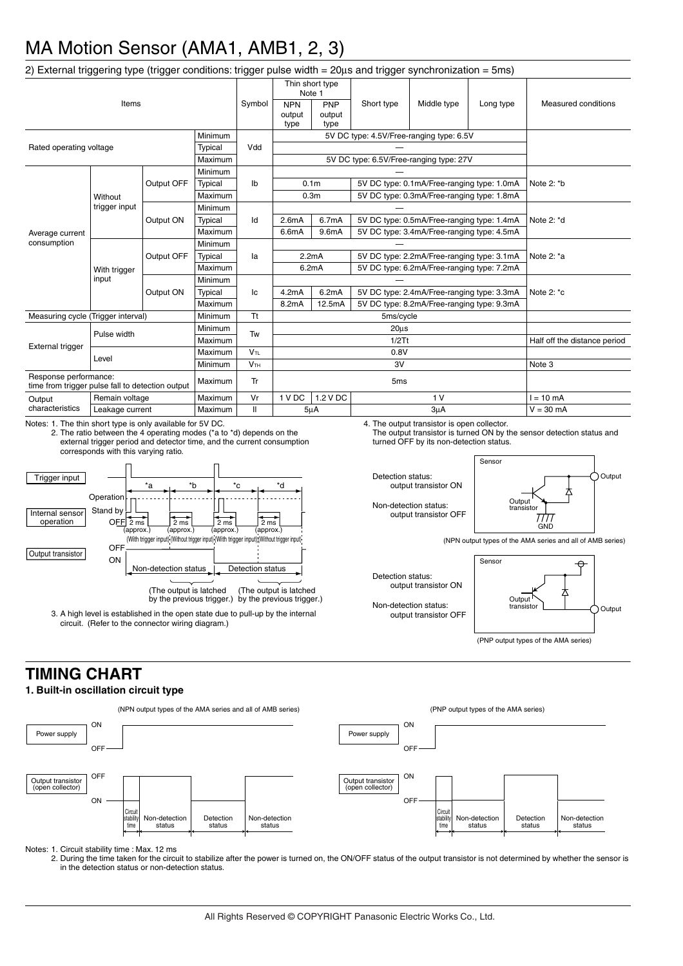| 2) External triggering type (trigger conditions: trigger pulse width $= 20 \mu s$ and trigger synchronization $= 5 \text{ms}$ )                                                           |                                      |                                                                                                                                                |         |                            |                                                                |                                                     |                                            |                                                                                        |                                |                                                                       |  |
|-------------------------------------------------------------------------------------------------------------------------------------------------------------------------------------------|--------------------------------------|------------------------------------------------------------------------------------------------------------------------------------------------|---------|----------------------------|----------------------------------------------------------------|-----------------------------------------------------|--------------------------------------------|----------------------------------------------------------------------------------------|--------------------------------|-----------------------------------------------------------------------|--|
| Items                                                                                                                                                                                     |                                      |                                                                                                                                                |         | Symbol                     | Thin short type<br>Note 1                                      |                                                     |                                            |                                                                                        |                                |                                                                       |  |
|                                                                                                                                                                                           |                                      |                                                                                                                                                |         |                            | <b>NPN</b><br>output<br>type                                   | PNP<br>output<br>type                               | Short type                                 | Middle type                                                                            | Long type                      | Measured conditions                                                   |  |
| Minimum                                                                                                                                                                                   |                                      |                                                                                                                                                |         |                            | 5V DC type: 4.5V/Free-ranging type: 6.5V                       |                                                     |                                            |                                                                                        |                                |                                                                       |  |
| Rated operating voltage<br>Typical<br>Maximum                                                                                                                                             |                                      |                                                                                                                                                | Vdd     |                            |                                                                |                                                     |                                            |                                                                                        |                                |                                                                       |  |
|                                                                                                                                                                                           |                                      |                                                                                                                                                |         |                            | 5V DC type: 6.5V/Free-ranging type: 27V                        |                                                     |                                            |                                                                                        |                                |                                                                       |  |
| Average current<br>consumption                                                                                                                                                            | Without<br>trigger input             | Output OFF                                                                                                                                     | Minimum | lb                         |                                                                |                                                     |                                            |                                                                                        | Note $2:$ *b                   |                                                                       |  |
|                                                                                                                                                                                           |                                      |                                                                                                                                                | Typical |                            | 0.1 <sub>m</sub><br>5V DC type: 0.1mA/Free-ranging type: 1.0mA |                                                     |                                            |                                                                                        |                                |                                                                       |  |
|                                                                                                                                                                                           |                                      |                                                                                                                                                | Maximum |                            | 0.3 <sub>m</sub><br>5V DC type: 0.3mA/Free-ranging type: 1.8mA |                                                     |                                            |                                                                                        |                                |                                                                       |  |
|                                                                                                                                                                                           |                                      | Output ON                                                                                                                                      | Minimum |                            |                                                                |                                                     |                                            |                                                                                        |                                |                                                                       |  |
|                                                                                                                                                                                           |                                      |                                                                                                                                                | Typical | Id                         | 2.6 <sub>m</sub> A                                             | 6.7mA                                               | 5V DC type: 0.5mA/Free-ranging type: 1.4mA |                                                                                        | Note 2: *d                     |                                                                       |  |
|                                                                                                                                                                                           |                                      |                                                                                                                                                | Maximum |                            | 6.6mA                                                          | 9.6mA                                               |                                            | 5V DC type: 3.4mA/Free-ranging type: 4.5mA                                             |                                |                                                                       |  |
|                                                                                                                                                                                           | With trigger<br>input                | Output OFF                                                                                                                                     | Minimum | la                         |                                                                |                                                     |                                            |                                                                                        |                                |                                                                       |  |
|                                                                                                                                                                                           |                                      |                                                                                                                                                | Typical |                            | 5V DC type: 2.2mA/Free-ranging type: 3.1mA<br>2.2mA            |                                                     |                                            | Note 2: *a                                                                             |                                |                                                                       |  |
|                                                                                                                                                                                           |                                      |                                                                                                                                                | Maximum |                            |                                                                | 6.2mA<br>5V DC type: 6.2mA/Free-ranging type: 7.2mA |                                            |                                                                                        |                                |                                                                       |  |
|                                                                                                                                                                                           |                                      | Output ON                                                                                                                                      | Minimum | lc                         |                                                                |                                                     |                                            |                                                                                        |                                |                                                                       |  |
|                                                                                                                                                                                           |                                      |                                                                                                                                                | Typical |                            | 4.2mA                                                          | 6.2mA                                               |                                            | 5V DC type: 2.4mA/Free-ranging type: 3.3mA                                             |                                | Note $2:$ $\infty$                                                    |  |
|                                                                                                                                                                                           |                                      |                                                                                                                                                | Maximum |                            | 8.2mA                                                          | 12.5mA                                              | 5V DC type: 8.2mA/Free-ranging type: 9.3mA |                                                                                        |                                |                                                                       |  |
| Measuring cycle (Trigger interval)                                                                                                                                                        |                                      |                                                                                                                                                | Minimum | <b>Tt</b>                  | 5ms/cycle                                                      |                                                     |                                            |                                                                                        |                                |                                                                       |  |
| <b>External trigger</b>                                                                                                                                                                   | Pulse width                          |                                                                                                                                                | Minimum | Tw                         | $20\mu s$<br>1/2Tt                                             |                                                     |                                            |                                                                                        |                                |                                                                       |  |
|                                                                                                                                                                                           |                                      |                                                                                                                                                | Maximum |                            |                                                                |                                                     |                                            |                                                                                        | Half off the distance period   |                                                                       |  |
|                                                                                                                                                                                           | Level                                |                                                                                                                                                | Maximum | $V_{TL}$                   | 0.8V                                                           |                                                     |                                            |                                                                                        |                                |                                                                       |  |
|                                                                                                                                                                                           |                                      |                                                                                                                                                | Minimum | V <sub>TH</sub>            | 3V                                                             |                                                     |                                            | Note 3                                                                                 |                                |                                                                       |  |
| Response performance:<br>time from trigger pulse fall to detection output                                                                                                                 |                                      |                                                                                                                                                | Maximum | Tr                         | 5 <sub>ms</sub>                                                |                                                     |                                            |                                                                                        |                                |                                                                       |  |
| Output                                                                                                                                                                                    | Remain voltage                       |                                                                                                                                                | Maximum | Vr                         | 1 V DC<br>1.2 V DC<br>1 <sub>V</sub>                           |                                                     | $l = 10$ mA                                |                                                                                        |                                |                                                                       |  |
| characteristics                                                                                                                                                                           | Leakage current                      |                                                                                                                                                | Maximum | $\mathbf{I}$               | 3uA<br>5 <sub>µ</sub> A                                        |                                                     |                                            | $V = 30$ mA                                                                            |                                |                                                                       |  |
| Notes: 1. The thin short type is only available for 5V DC.                                                                                                                                | corresponds with this varying ratio. | 2. The ratio between the 4 operating modes (*a to *d) depends on the<br>external trigger period and detector time, and the current consumption |         |                            |                                                                |                                                     |                                            | 4. The output transistor is open collector.<br>turned OFF by its non-detection status. |                                | The output transistor is turned ON by the sensor detection status and |  |
| Trigger input<br>*b<br>*a<br>Operation<br>Stand by<br>Internal sensor<br>operation<br>OFF<br>2 <sub>ms</sub><br>2 <sub>ms</sub><br>2 <sub>ms</sub><br>(approx.)<br>(approx.)<br>(approx.) |                                      |                                                                                                                                                |         | $^*c$<br>2 ms<br>(approx.) | *d                                                             |                                                     | Detection status:                          | output transistor ON<br>Non-detection status:<br>output transistor OFF                 | Sensor<br>Output<br>transistor | Output<br>////<br>GND                                                 |  |
| (With trigger input) (Without trigger input) (With trigger input) (Without trigger input)<br>(NPN output types of the AMA series and all of AMB series)                                   |                                      |                                                                                                                                                |         |                            |                                                                |                                                     |                                            |                                                                                        |                                |                                                                       |  |

Non-detection status **Detection status** (The output is latched by the previous trigger.) (The output is latched by the previous trigger.)

3. A high level is established in the open state due to pull-up by the internal circuit. (Refer to the connector wiring diagram.)

(NPN output types of the AMA series and all of AMB series)

Detection status: output transistor ON

Non-detection status: output transistor OFF



### **TIMING CHART**

Output transistor

#### **1. Built-in oscillation circuit type**

**OF** ON



Notes: 1. Circuit stability time : Max. 12 ms

2. During the time taken for the circuit to stabilize after the power is turned on, the ON/OFF status of the output transistor is not determined by whether the sensor is in the detection status or non-detection status.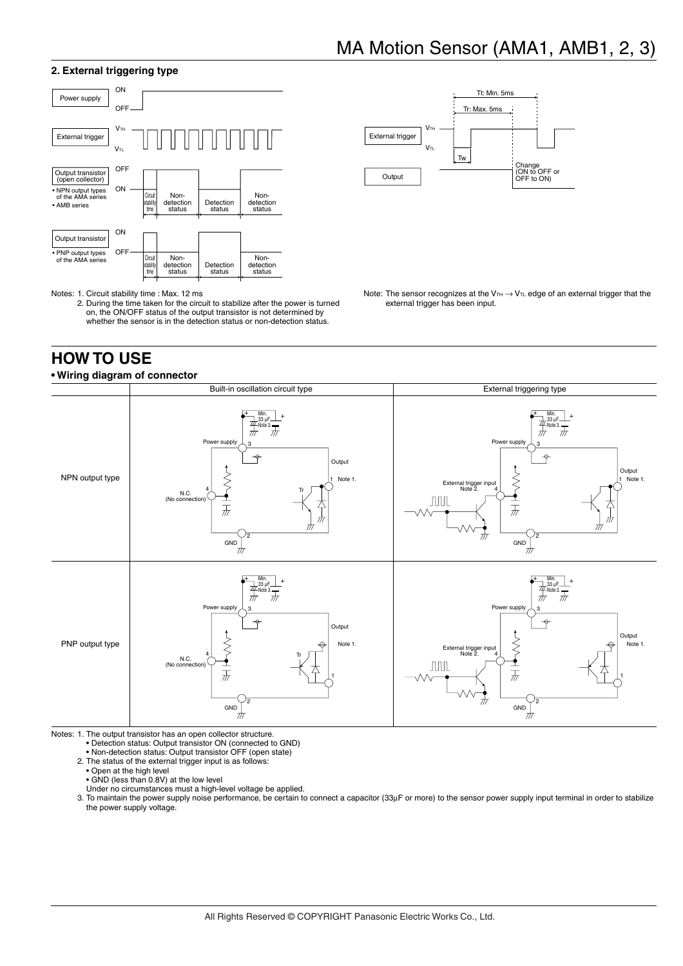#### **2. External triggering type**



Notes: 1. Circuit stability time : Max. 12 ms

2. During the time taken for the circuit to stabilize after the power is turned on, the ON/OFF status of the output transistor is not determined by whether the sensor is in the detection status or non-detection status.

### **HOW TO USE**



Note: The sensor recognizes at the VTH  $\rightarrow$  VTL edge of an external trigger that the external trigger has been input.



Notes: 1. The output transistor has an open collector structure.

• Detection status: Output transistor ON (connected to GND)

• Non-detection status: Output transistor OFF (open state) 2. The status of the external trigger input is as follows:

• Open at the high level

• GND (less than 0.8V) at the low level Under no circumstances must a high-level voltage be applied.

3. To maintain the power supply noise performance, be certain to connect a capacitor (33µF or more) to the sensor power supply input terminal in order to stabilize the power supply voltage.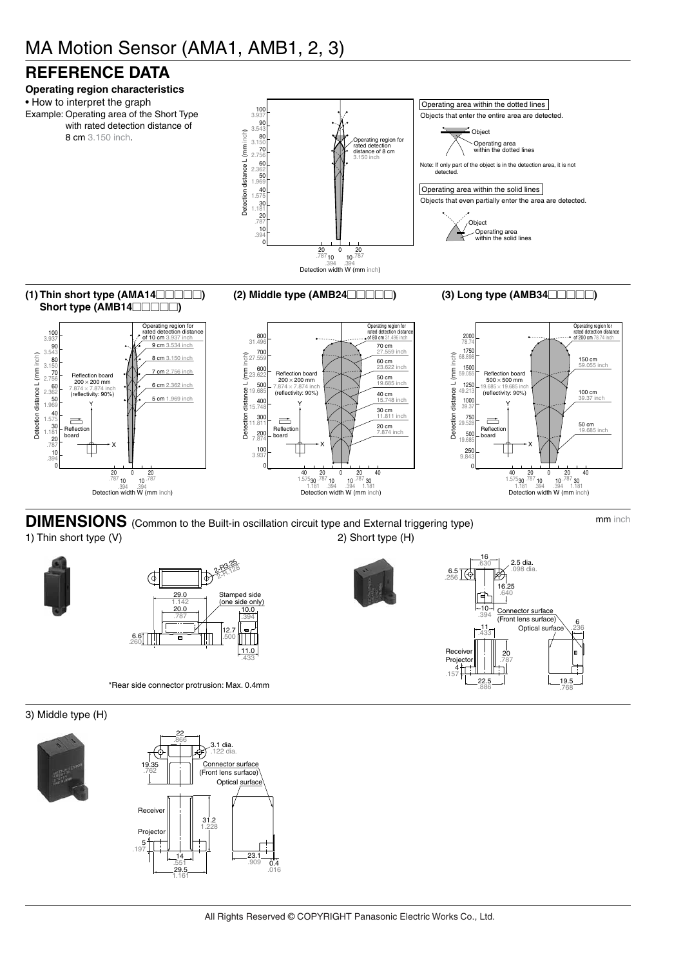### **REFERENCE DATA**



**DIMENSIONS** (Common to the Built-in oscillation circuit type and External triggering type) mm inch 1) Thin short type (V) 2) Short type (H)



\*Rear side connector protrusion: Max. 0.4mm





#### 3) Middle type (H)



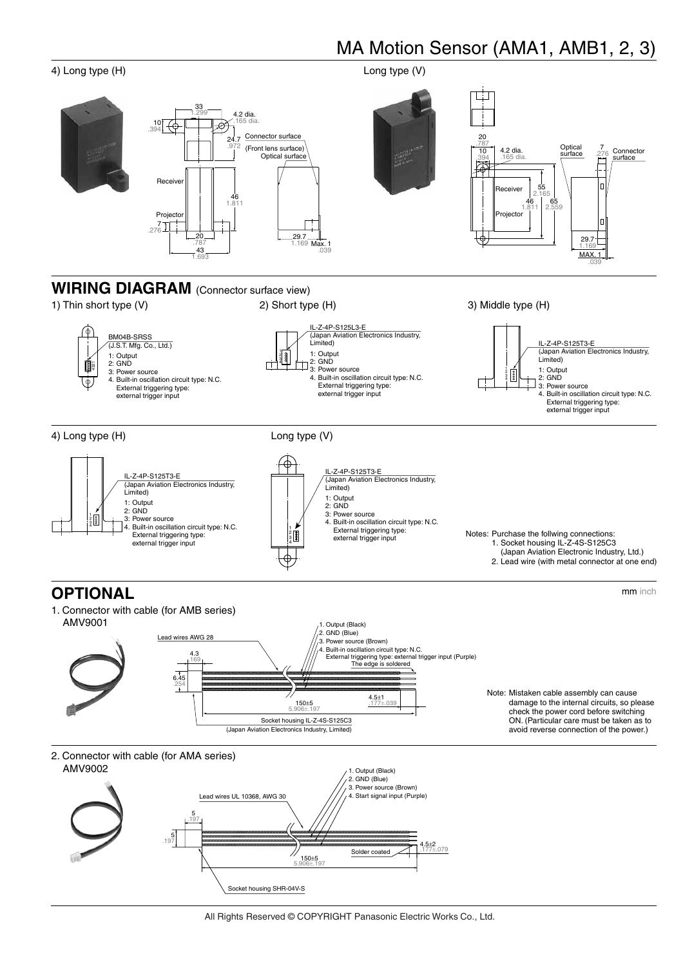

et housing SHR-04V-S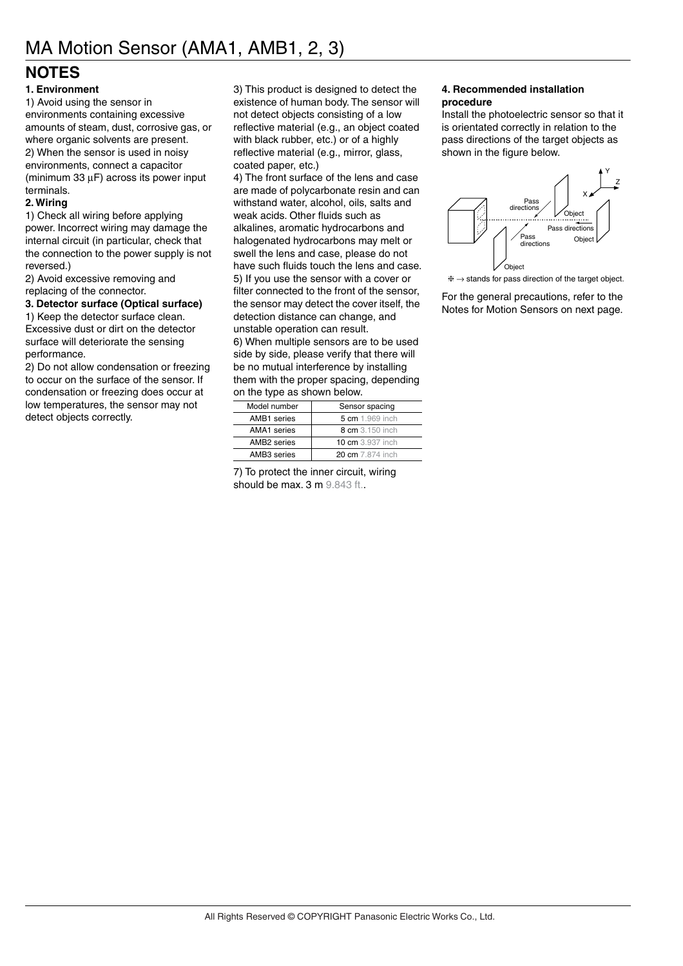### **NOTES**

#### **1. Environment**

1) Avoid using the sensor in environments containing excessive amounts of steam, dust, corrosive gas, or where organic solvents are present. 2) When the sensor is used in noisy environments, connect a capacitor (minimum 33 µF) across its power input terminals.

#### **2. Wiring**

1) Check all wiring before applying power. Incorrect wiring may damage the internal circuit (in particular, check that the connection to the power supply is not reversed.)

2) Avoid excessive removing and replacing of the connector.

#### **3. Detector surface (Optical surface)**

1) Keep the detector surface clean. Excessive dust or dirt on the detector surface will deteriorate the sensing performance.

2) Do not allow condensation or freezing to occur on the surface of the sensor. If condensation or freezing does occur at low temperatures, the sensor may not detect objects correctly.

3) This product is designed to detect the existence of human body. The sensor will not detect objects consisting of a low reflective material (e.g., an object coated with black rubber, etc.) or of a highly reflective material (e.g., mirror, glass, coated paper, etc.)

4) The front surface of the lens and case are made of polycarbonate resin and can withstand water, alcohol, oils, salts and weak acids. Other fluids such as alkalines, aromatic hydrocarbons and halogenated hydrocarbons may melt or swell the lens and case, please do not have such fluids touch the lens and case. 5) If you use the sensor with a cover or filter connected to the front of the sensor, the sensor may detect the cover itself, the detection distance can change, and unstable operation can result. 6) When multiple sensors are to be used

side by side, please verify that there will be no mutual interference by installing them with the proper spacing, depending on the type as shown below.

| Model number       | Sensor spacing          |
|--------------------|-------------------------|
| AMB1 series        | 5 cm 1.969 inch         |
| <b>AMA1</b> series | 8 cm 3.150 inch         |
| AMB2 series        | <b>10 cm</b> 3.937 inch |
| AMB3 series        | 20 cm 7.874 inch        |

7) To protect the inner circuit, wiring should be max. 3 m 9.843 ft..

#### **4. Recommended installation procedure**

Install the photoelectric sensor so that it is orientated correctly in relation to the pass directions of the target objects as shown in the figure below.



 $* \rightarrow$  stands for pass direction of the target object.

For the general precautions, refer to the Notes for Motion Sensors on next page.